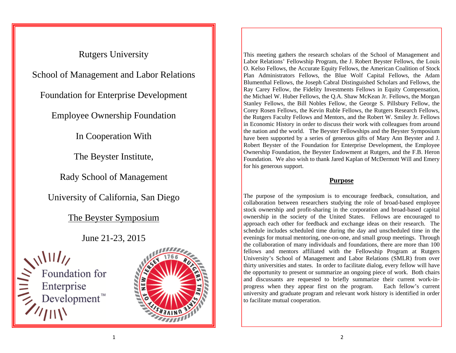# Rutgers University School of Management and Labor Relations Foundation for Enterprise Development Employee Ownership Foundation In Cooperation With The Beyster Institute, Rady School of Management

University of California, San Diego

# The Beyster Symposium

# June 21-23, 2015

 $\sum_{n=1}^{\infty}$  Foundation for<br>  $\sum_{n=1}^{\infty}$  Enterprise<br>  $\sum_{n=1}^{\infty}$  Development



This meeting gathers the research scholars of the School of Management and Labor Relations' Fellowship Program, the J. Robert Beyster Fellows, the Louis O. Kelso Fellows, the Accurate Equity Fellows, the American Coalition of Stock Plan Administrators Fellows, the Blue Wolf Capital Fellows, the Adam Blumenthal Fellows, the Joseph Cabral Distinguished Scholars and Fellows, the Ray Carey Fellow, the Fidelity Investments Fellows in Equity Compensation, the Michael W. Huber Fellows, the Q.A. Shaw McKean Jr. Fellows, the Morgan Stanley Fellows, the Bill Nobles Fellow, the George S. Pillsbury Fellow, the Corey Rosen Fellows, the Kevin Ruble Fellows, the Rutgers Research Fellows, the Rutgers Faculty Fellows and Mentors, and the Robert W. Smiley Jr. Fellows in Economic History in order to discuss their work with colleagues from around the nation and the world. The Beyster Fellowships and the Beyster Symposium have been supported by a series of generous gifts of Mary Ann Beyster and J. Robert Beyster of the Foundation for Enterprise Development, the Employee Ownership Foundation, the Beyster Endowment at Rutgers, and the F.B. Heron Foundation. We also wish to thank Jared Kaplan of McDermott Will and Emery for his generous support.

# **Purpose**

The purpose of the symposium is to encourage feedback, consultation, and collaboration between researchers studying the role of broad-based employee stock ownership and profit-sharing in the corporation and broad-based capital ownership in the society of the United States. Fellows are encouraged to approach each other for feedback and exchange ideas on their research. The schedule includes scheduled time during the day and unscheduled time in the evenings for mutual mentoring, one-on-one, and small group meetings. Through the collaboration of many individuals and foundations, there are more than 100 fellows and mentors affiliated with the Fellowship Program at Rutgers University's School of Management and Labor Relations (SMLR) from over thirty universities and states. In order to facilitate dialog, every fellow will have the opportunity to present or summarize an ongoing piece of work. Both chairs and discussants are requested to briefly summarize their current work-inprogress when they appear first on the program. Each fellow's current university and graduate program and relevant work history is identified in order to facilitate mutual cooperation.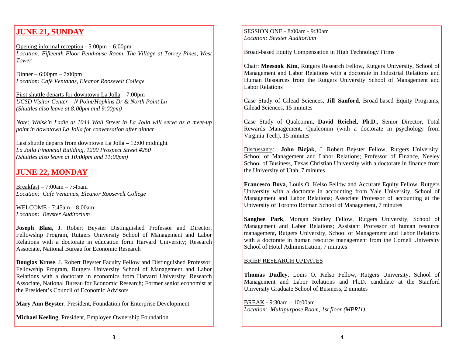# **JUNE 21, SUNDAY**

Opening informal reception - 5:00pm – 6:00pm *Location: Fifteenth Floor Penthouse Room, The Village at Torrey Pines, West Tower* 

Dinner – 6:00pm – 7:00pm *Location: Café Ventanas, Eleanor Roosevelt College* 

First shuttle departs for downtown La Jolla – 7:00pm *UCSD Visitor Center – N Point/Hopkins Dr & North Point Ln (Shuttles also leave at 8:00pm and 9:00pm)* 

*Note: Whisk'n Ladle at 1044 Wall Street in La Jolla will serve as a meet-up point in downtown La Jolla for conversation after dinner* 

Last shuttle departs from downtown La Jolla – 12:00 midnight *La Jolla Financial Building, 1200 Prospect Street #250 (Shuttles also leave at 10:00pm and 11:00pm)* 

# **JUNE 22, MONDAY**

Breakfast – 7:00am – 7:45am *Location: Cafe Ventanas, Eleanor Roosevelt College* 

WELCOME - 7:45am – 8:00am *Location: Beyster Auditorium* 

**Joseph Blasi**, J. Robert Beyster Distinguished Professor and Director, Fellowship Program, Rutgers University School of Management and Labor Relations with a doctorate in education form Harvard University; Research Associate, National Bureau for Economic Research

**Douglas Kruse**, J. Robert Beyster Faculty Fellow and Distinguished Professor, Fellowship Program, Rutgers University School of Management and Labor Relations with a doctorate in economics from Harvard University; Research Associate, National Bureau for Economic Research; Former senior economist at the President's Council of Economic Advisors

**Mary Ann Beyster**, President, Foundation for Enterprise Development

**Michael Keeling**, President, Employee Ownership Foundation

SESSION ONE - 8:00am - 9:30am *Location: Beyster Auditorium* 

Broad-based Equity Compensation in High Technology Firms

Chair: **Meesook Kim**, Rutgers Research Fellow, Rutgers University, School of Management and Labor Relations with a doctorate in Industrial Relations and Human Resources from the Rutgers University School of Management and Labor Relations

Case Study of Gilead Sciences, **Jill Sanford**, Broad-based Equity Programs, Gilead Sciences, 15 minutes

Case Study of Qualcomm, **David Reichel, Ph.D.**, Senior Director, Total Rewards Management, Qualcomm (with a doctorate in psychology from Virginia Tech), 15 minutes

Discussants: **John Bizjak**, J. Robert Beyster Fellow, Rutgers University, School of Management and Labor Relations; Professor of Finance, Neeley School of Business, Texas Christian University with a doctorate in finance from the University of Utah, 7 minutes

**Francesco Bova**, Louis O. Kelso Fellow and Accurate Equity Fellow, Rutgers University with a doctorate in accounting from Yale University, School of Management and Labor Relations; Associate Professor of accounting at the University of Toronto Rotman School of Management, 7 minutes

**Sanghee Park**, Morgan Stanley Fellow, Rutgers University, School of Management and Labor Relations; Assistant Professor of human resource management, Rutgers University, School of Management and Labor Relations with a doctorate in human resource management from the Cornell University School of Hotel Administration, 7 minutes

#### BRIEF RESEARCH UPDATES

**Thomas Dudley**, Louis O. Kelso Fellow, Rutgers University, School of Management and Labor Relations and Ph.D. candidate at the Stanford University Graduate School of Business, 2 minutes

BREAK - 9:30am – 10:00am *Location: Multipurpose Room, 1st floor (MPRI1)*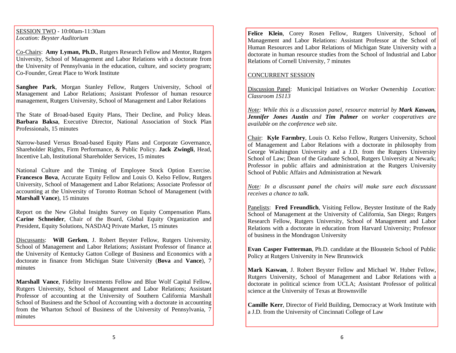SESSION TWO - 10:00am-11:30am *Location: Beyster Auditorium* 

Co-Chairs: **Amy Lyman, Ph.D.**, Rutgers Research Fellow and Mentor, Rutgers University, School of Management and Labor Relations with a doctorate from the University of Pennsylvania in the education, culture, and society program; Co-Founder, Great Place to Work Institute

**Sanghee Park**, Morgan Stanley Fellow, Rutgers University, School of Management and Labor Relations; Assistant Professor of human resource management, Rutgers University, School of Management and Labor Relations

The State of Broad-based Equity Plans, Their Decline, and Policy Ideas. **Barbara Baksa**, Executive Director, National Association of Stock Plan Professionals, 15 minutes

Narrow-based Versus Broad-based Equity Plans and Corporate Governance, Shareholder Rights, Firm Performance, & Public Policy. **Jack Zwingli**, Head, Incentive Lab, Institutional Shareholder Services, 15 minutes

National Culture and the Timing of Employee Stock Option Exercise. **Francesco Bova**, Accurate Equity Fellow and Louis O. Kelso Fellow, Rutgers University, School of Management and Labor Relations; Associate Professor of accounting at the University of Toronto Rotman School of Management (with **Marshall Vance**), 15 minutes

Report on the New Global Insights Survey on Equity Compensation Plans. **Carine Schneider**, Chair of the Board, Global Equity Organization and President, Equity Solutions, NASDAQ Private Market, 15 minutes

Discussants: **Will Gerken**, J. Robert Beyster Fellow, Rutgers University, School of Management and Labor Relations; Assistant Professor of finance at the University of Kentucky Gatton College of Business and Economics with a doctorate in finance from Michigan State University (**Bova** and **Vance**), 7 minutes

**Marshall Vance**, Fidelity Investments Fellow and Blue Wolf Capital Fellow, Rutgers University, School of Management and Labor Relations; Assistant Professor of accounting at the University of Southern California Marshall School of Business and the School of Accounting with a doctorate in accounting from the Wharton School of Business of the University of Pennsylvania, 7 minutes

**Felice Klein**, Corey Rosen Fellow, Rutgers University, School of Management and Labor Relations: Assistant Professor at the School of Human Resources and Labor Relations of Michigan State University with a doctorate in human resource studies from the School of Industrial and Labor Relations of Cornell University, 7 minutes

#### CONCURRENT SESSION

Discussion Panel: Municipal Initiatives on Worker Ownership *Location: Classroom 1S113* 

*Note: While this is a discussion panel, resource material by Mark Kaswan, Jennifer Jones Austin and Tim Palmer on worker cooperatives are available on the conference web site.* 

Chair: **Kyle Farmbry**, Louis O. Kelso Fellow, Rutgers University, School of Management and Labor Relations with a doctorate in philosophy from George Washington University and a J.D. from the Rutgers University School of Law; Dean of the Graduate School, Rutgers University at Newark; Professor in public affairs and administration at the Rutgers University School of Public Affairs and Administration at Newark

*Note: In a discussant panel the chairs will make sure each discussant receives a chance to talk.* 

Panelists: **Fred Freundlich**, Visiting Fellow, Beyster Institute of the Rady School of Management at the University of California, San Diego; Rutgers Research Fellow, Rutgers University, School of Management and Labor Relations with a doctorate in education from Harvard University; Professor of business in the Mondragon University

**Evan Casper Futterman**, Ph.D. candidate at the Bloustein School of Public Policy at Rutgers University in New Brunswick

**Mark Kaswan**, J. Robert Beyster Fellow and Michael W. Huber Fellow, Rutgers University, School of Management and Labor Relations with a doctorate in political science from UCLA; Assistant Professor of political science at the University of Texas at Brownsville

**Camille Kerr**, Director of Field Building, Democracy at Work Institute with a J.D. from the University of Cincinnati College of Law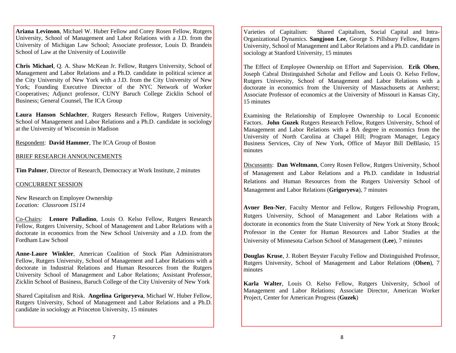**Ariana Levinson**, Michael W. Huber Fellow and Corey Rosen Fellow, Rutgers University, School of Management and Labor Relations with a J.D. from the University of Michigan Law School; Associate professor, Louis D. Brandeis School of Law at the University of Louisville

**Chris Michael**, Q. A. Shaw McKean Jr. Fellow, Rutgers University, School of Management and Labor Relations and a Ph.D. candidate in political science at the City University of New York with a J.D. from the City University of New York; Founding Executive Director of the NYC Network of Worker Cooperatives; Adjunct professor, CUNY Baruch College Zicklin School of Business; General Counsel, The ICA Group

**Laura Hanson Schlachter**, Rutgers Research Fellow, Rutgers University, School of Management and Labor Relations and a Ph.D. candidate in sociology at the University of Wisconsin in Madison

Respondent: **David Hammer**, The ICA Group of Boston

#### BRIEF RESEARCH ANNOUNCEMENTS

**Tim Palmer**, Director of Research, Democracy at Work Institute, 2 minutes

#### CONCURRENT SESSION

New Research on Employee Ownership *Location: Classroom 1S114* 

Co-Chairs: **Lenore Palladino**, Louis O. Kelso Fellow, Rutgers Research Fellow, Rutgers University, School of Management and Labor Relations with a doctorate in economics from the New School University and a J.D. from the Fordham Law School

**Anne-Laure Winkler**, American Coalition of Stock Plan Administrators Fellow, Rutgers University, School of Management and Labor Relations with a doctorate in Industrial Relations and Human Resources from the Rutgers University School of Management and Labor Relations; Assistant Professor, Zicklin School of Business, Baruch College of the City University of New York

Shared Capitalism and Risk. **Angelina Grigoryeva**, Michael W. Huber Fellow, Rutgers University, School of Management and Labor Relations and a Ph.D. candidate in sociology at Princeton University, 15 minutes

Varieties of Capitalism: Shared Capitalism, Social Capital and Intra-Organizational Dynamics. **Sangjoon Lee**, George S. Pillsbury Fellow, Rutgers University, School of Management and Labor Relations and a Ph.D. candidate in sociology at Stanford University, 15 minutes

The Effect of Employee Ownership on Effort and Supervision. **Erik Olsen**, Joseph Cabral Distinguished Scholar and Fellow and Louis O. Kelso Fellow, Rutgers University, School of Management and Labor Relations with a doctorate in economics from the University of Massachusetts at Amherst; Associate Professor of economics at the University of Missouri in Kansas City, 15 minutes

Examining the Relationship of Employee Ownership to Local Economic Factors. **John Guzek** Rutgers Research Fellow, Rutgers University, School of Management and Labor Relations with a BA degree in economics from the University of North Carolina at Chapel Hill; Program Manager, Legacy Business Services, City of New York, Office of Mayor Bill DeBlasio, 15 minutes

Discussants: **Dan Weltmann**, Corey Rosen Fellow, Rutgers University, School of Management and Labor Relations and a Ph.D. candidate in Industrial Relations and Human Resources from the Rutgers University School of Management and Labor Relations (**Grigoryeva**), 7 minutes

**Avner Ben-Ner**, Faculty Mentor and Fellow, Rutgers Fellowship Program, Rutgers University, School of Management and Labor Relations with a doctorate in economics from the State University of New York at Stony Brook; Professor in the Center for Human Resources and Labor Studies at the University of Minnesota Carlson School of Management (**Lee**), 7 minutes

**Douglas Kruse**, J. Robert Beyster Faculty Fellow and Distinguished Professor, Rutgers University, School of Management and Labor Relations (**Olsen**), 7 minutes

**Karla Walter**, Louis O. Kelso Fellow, Rutgers University, School of Management and Labor Relations; Associate Director, American Worker Project, Center for American Progress (**Guzek**)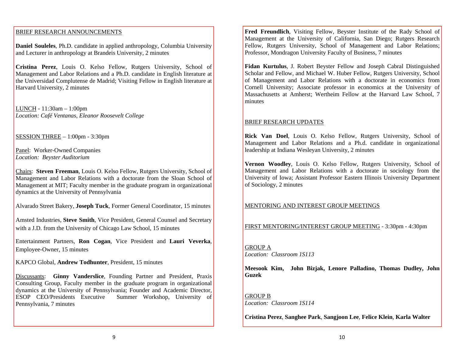#### BRIEF RESEARCH ANNOUNCEMENTS

**Daniel Souleles**, Ph.D. candidate in applied anthropology, Columbia University and Lecturer in anthropology at Brandeis University, 2 minutes

**Cristina Perez**, Louis O. Kelso Fellow, Rutgers University, School of Management and Labor Relations and a Ph.D. candidate in English literature at the Universidad Complutense de Madrid; Visiting Fellow in English literature at Harvard University, 2 minutes

LUNCH - 11:30am – 1:00pm *Location: Café Ventanas, Eleanor Roosevelt College* 

SESSION THREE – 1:00pm - 3:30pm

Panel: Worker-Owned Companies *Location: Beyster Auditorium* 

Chairs: **Steven Freeman**, Louis O. Kelso Fellow, Rutgers University, School of Management and Labor Relations with a doctorate from the Sloan School of Management at MIT; Faculty member in the graduate program in organizational dynamics at the University of Pennsylvania

Alvarado Street Bakery, **Joseph Tuck**, Former General Coordinator, 15 minutes

Amsted Industries, **Steve Smith**, Vice President, General Counsel and Secretary with a J.D. from the University of Chicago Law School, 15 minutes

Entertainment Partners, **Ron Cogan**, Vice President and **Lauri Veverka**, Employee-Owner, 15 minutes

KAPCO Global, **Andrew Todhunter**, President, 15 minutes

Discussants: **Ginny Vanderslice**, Founding Partner and President, Praxis Consulting Group, Faculty member in the graduate program in organizational dynamics at the University of Pennsylvania; Founder and Academic Director, ESOP CEO/Presidents Executive Summer Workshop, University of Pennsylvania, 7 minutes

**Fred Freundlich**, Visiting Fellow, Beyster Institute of the Rady School of Management at the University of California, San Diego; Rutgers Research Fellow, Rutgers University, School of Management and Labor Relations; Professor, Mondragon University Faculty of Business, 7 minutes

**Fidan Kurtulus**, J. Robert Beyster Fellow and Joseph Cabral Distinguished Scholar and Fellow, and Michael W. Huber Fellow, Rutgers University, School of Management and Labor Relations with a doctorate in economics from Cornell University; Associate professor in economics at the University of Massachusetts at Amherst; Wertheim Fellow at the Harvard Law School, 7 minutes

#### BRIEF RESEARCH UPDATES

**Rick Van Doel**, Louis O. Kelso Fellow, Rutgers University, School of Management and Labor Relations and a Ph.d. candidate in organizational leadership at Indiana Wesleyan University, 2 minutes

**Vernon Woodley**, Louis O. Kelso Fellow, Rutgers University, School of Management and Labor Relations with a doctorate in sociology from the University of Iowa; Assistant Professor Eastern Illinois University Department of Sociology, 2 minutes

#### MENTORING AND INTEREST GROUP MEETINGS

FIRST MENTORING/INTEREST GROUP MEETING - 3:30pm - 4:30pm

GROUP A *Location: Classroom 1S113* 

**Meesook Kim, John Bizjak, Lenore Palladino, Thomas Dudley, John Guzek** 

GROUP B *Location: Classroom 1S114* 

**Cristina Perez**, **Sanghee Park**, **Sangjoon Lee**, **Felice Klein**, **Karla Walter**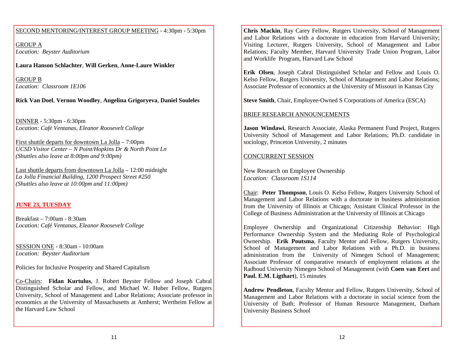#### SECOND MENTORING/INTEREST GROUP MEETING - 4:30pm - 5:30pm

GROUP A *Location: Beyster Auditorium* 

**Laura Hanson Schlachter**, **Will Gerken**, **Anne-Laure Winkler** 

GROUP B *Location: Classroom 1E106* 

**Rick Van Doel**, **Vernon Woodley**, **Angelina Grigoryeva**, **Daniel Souleles** 

DINNER - 5:30pm - 6:30pm *Location: Café Ventanas, Eleanor Roosevelt College* 

First shuttle departs for downtown La Jolla – 7:00pm *UCSD Visitor Center – N Point/Hopkins Dr & North Point Ln (Shuttles also leave at 8:00pm and 9:00pm)* 

Last shuttle departs from downtown La Jolla – 12:00 midnight *La Jolla Financial Building, 1200 Prospect Street #250 (Shuttles also leave at 10:00pm and 11:00pm)* 

#### **JUNE 23, TUESDAY**

Breakfast –  $7:00$ am -  $8:30$ am *Location: Café Ventanas, Eleanor Roosevelt College* 

SESSION ONE - 8:30am - 10:00am *Location: Beyster Auditorium* 

Policies for Inclusive Prosperity and Shared Capitalism

Co-Chairs: **Fidan Kurtulus**, J. Robert Beyster Fellow and Joseph Cabral Distinguished Scholar and Fellow, and Michael W. Huber Fellow, Rutgers University, School of Management and Labor Relations; Associate professor in economics at the University of Massachusetts at Amherst; Wertheim Fellow at the Harvard Law School

**Chris Mackin**, Ray Carey Fellow, Rutgers University, School of Management and Labor Relations with a doctorate in education from Harvard University; Visiting Lecturer, Rutgers University, School of Management and Labor Relations; Faculty Member, Harvard University Trade Union Program, Labor and Worklife Program, Harvard Law School

**Erik Olsen**, Joseph Cabral Distinguished Scholar and Fellow and Louis O. Kelso Fellow, Rutgers University, School of Management and Labor Relations; Associate Professor of economics at the University of Missouri in Kansas City

**Steve Smith**, Chair, Employee-Owned S Corporations of America (ESCA)

#### BRIEF RESEARCH ANNOUNCEMENTS

**Jason Windawi**, Research Associate, Alaska Permanent Fund Project, Rutgers University School of Management and Labor Relations; Ph.D. candidate in sociology, Princeton University, 2 minutes

#### CONCURRENT SESSION

New Research on Employee Ownership *Location: Classroom 1S114* 

Chair: **Peter Thompson**, Louis O. Kelso Fellow, Rutgers University School of Management and Labor Relations with a doctorate in business administration from the University of Illinois at Chicago; Assistant Clinical Professor in the College of Business Administration at the University of Illinois at Chicago

Employee Ownership and Organizational Citizenship Behavior: High Performance Ownership System and the Mediating Role of Psychological Ownership. **Erik Poutsma**, Faculty Mentor and Fellow, Rutgers University, School of Management and Labor Relations with a Ph.D. in business administration from the University of Nimegen School of Management; Associate Professor of comparative research of employment relations at the Radboud University Nimegen School of Management (with **Coen van Eert** and **Paul. E.M. Ligthart**), 15 minutes

**Andrew Pendleton**, Faculty Mentor and Fellow, Rutgers University, School of Management and Labor Relations with a doctorate in social science from the University of Bath; Professor of Human Resource Management, Durham University Business School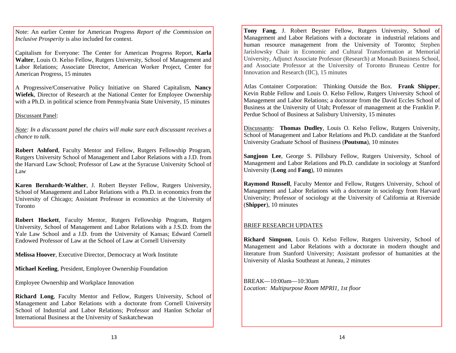Note: An earlier Center for American Progress *Report of the Commission on Inclusive Prosperity* is also included for context.

Capitalism for Everyone: The Center for American Progress Report, **Karla Walter**, Louis O. Kelso Fellow, Rutgers University, School of Management and Labor Relations; Associate Director, American Worker Project, Center for American Progress, 15 minutes

A Progressive/Conservative Policy Initiative on Shared Capitalism, **Nancy Wiefek**, Director of Research at the National Center for Employee Ownership with a Ph.D. in political science from Pennsylvania State University, 15 minutes

#### Discussant Panel:

*Note: In a discussant panel the chairs will make sure each discussant receives a chance to talk.* 

**Robert Ashford**, Faculty Mentor and Fellow, Rutgers Fellowship Program, Rutgers University School of Management and Labor Relations with a J.D. from the Harvard Law School; Professor of Law at the Syracuse University School of Law

**Karen Bernhardt-Walther**, J. Robert Beyster Fellow, Rutgers University, School of Management and Labor Relations with a Ph.D. in economics from the University of Chicago; Assistant Professor in economics at the University of Toronto

**Robert Hockett**, Faculty Mentor, Rutgers Fellowship Program, Rutgers University, School of Management and Labor Relations with a J.S.D. from the Yale Law School and a J.D. from the University of Kansas; Edward Cornell Endowed Professor of Law at the School of Law at Cornell University

**Melissa Hoover**, Executive Director, Democracy at Work Institute

**Michael Keeling**, President, Employee Ownership Foundation

Employee Ownership and Workplace Innovation

**Richard Long**, Faculty Mentor and Fellow, Rutgers University, School of Management and Labor Relations with a doctorate from Cornell University School of Industrial and Labor Relations; Professor and Hanlon Scholar of International Business at the University of Saskatchewan

**Tony Fang**, J. Robert Beyster Fellow, Rutgers University, School of Management and Labor Relations with a doctorate in industrial relations and human resource management from the University of Toronto; Stephen Jarislowsky Chair in Economic and Cultural Transformation at Memorial University, Adjunct Associate Professor (Research) at Monash Business School, and Associate Professor at the University of Toronto Bruneau Centre for Innovation and Research (IIC), 15 minutes

Atlas Container Corporation: Thinking Outside the Box. **Frank Shipper**, Kevin Ruble Fellow and Louis O. Kelso Fellow, Rutgers University School of Management and Labor Relations; a doctorate from the David Eccles School of Business at the University of Utah; Professor of management at the Franklin P. Perdue School of Business at Salisbury University, 15 minutes

Discussants: **Thomas Dudley**, Louis O. Kelso Fellow, Rutgers University, School of Management and Labor Relations and Ph.D. candidate at the Stanford University Graduate School of Business (**Poutsma**), 10 minutes

**Sangjoon Lee**, George S. Pillsbury Fellow, Rutgers University, School of Management and Labor Relations and Ph.D. candidate in sociology at Stanford University (**Long** and **Fang**), 10 minutes

**Raymond Russell**, Faculty Mentor and Fellow, Rutgers University, School of Management and Labor Relations with a doctorate in sociology from Harvard University; Professor of sociology at the University of California at Riverside (**Shipper**), 10 minutes

#### BRIEF RESEARCH UPDATES

**Richard Simpson**, Louis O. Kelso Fellow, Rutgers University, School of Management and Labor Relations with a doctorate in modern thought and literature from Stanford University; Assistant professor of humanities at the University of Alaska Southeast at Juneau, 2 minutes

BREAK—10:00am—10:30am *Location: Multipurpose Room MPRI1, 1st floor*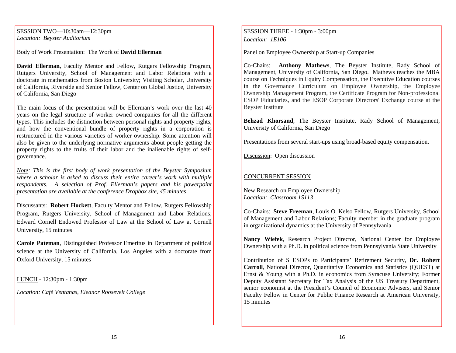SESSION TWO—10:30am—12:30pm *Location: Beyster Auditorium* 

Body of Work Presentation: The Work of **David Ellerman**

**David Ellerman**, Faculty Mentor and Fellow, Rutgers Fellowship Program, Rutgers University, School of Management and Labor Relations with a doctorate in mathematics from Boston University; Visiting Scholar, University of California, Riverside and Senior Fellow, Center on Global Justice, University of California, San Diego

The main focus of the presentation will be Ellerman's work over the last 40 years on the legal structure of worker owned companies for all the different types. This includes the distinction between personal rights and property rights, and how the conventional bundle of property rights in a corporation is restructured in the various varieties of worker ownership. Some attention will also be given to the underlying normative arguments about people getting the property rights to the fruits of their labor and the inalienable rights of selfgovernance.

*Note: This is the first body of work presentation of the Beyster Symposium where a scholar is asked to discuss their entire career's work with multiple respondents. A selection of Prof. Ellerman's papers and his powerpoint presentation are available at the conference Dropbox site, 45 minutes* 

Discussants: **Robert Hockett**, Faculty Mentor and Fellow, Rutgers Fellowship Program, Rutgers University, School of Management and Labor Relations; Edward Cornell Endowed Professor of Law at the School of Law at Cornell University, 15 minutes

**Carole Pateman**, Distinguished Professor Emeritus in Department of political science at the University of California, Los Angeles with a doctorate from Oxford University, 15 minutes

LUNCH - 12:30pm - 1:30pm

*Location: Café Ventanas, Eleanor Roosevelt College* 

SESSION THREE - 1:30pm - 3:00pm *Location: 1E106* 

Panel on Employee Ownership at Start-up Companies

Co-Chairs: **Anthony Mathews**, The Beyster Institute, Rady School of Management, University of California, San Diego. Mathews teaches the MBA course on Techniques in Equity Compensation, the Executive Education courses in the Governance Curriculum on Employee Ownership, the Employee Ownership Management Program, the Certificate Program for Non-professional ESOP Fiduciaries, and the ESOP Corporate Directors' Exchange course at the Beyster Institute

**Behzad Khorsand**, The Beyster Institute, Rady School of Management, University of California, San Diego

Presentations from several start-ups using broad-based equity compensation.

Discussion: Open discussion

#### CONCURRENT SESSION

New Research on Employee Ownership *Location: Classroom 1S113* 

Co-Chairs: **Steve Freeman**, Louis O. Kelso Fellow, Rutgers University, School of Management and Labor Relations; Faculty member in the graduate program in organizational dynamics at the University of Pennsylvania

**Nancy Wiefek**, Research Project Director, National Center for Employee Ownership with a Ph.D. in political science from Pennsylvania State University

Contribution of S ESOPs to Participants' Retirement Security, **Dr. Robert Carroll**, National Director, Quantitative Economics and Statistics (QUEST) at Ernst & Young with a Ph.D. in economics from Syracuse University; Former Deputy Assistant Secretary for Tax Analysis of the US Treasury Department, senior economist at the President's Council of Economic Advisers, and Senior Faculty Fellow in Center for Public Finance Research at American University, 15 minutes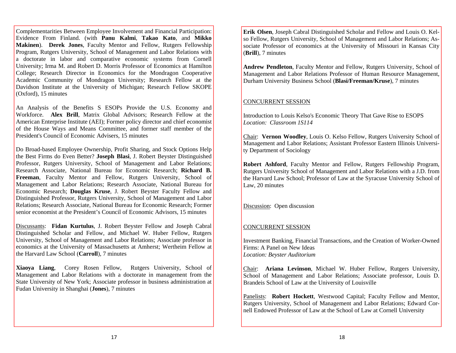Complementarities Between Employee Involvement and Financial Participation: Evidence From Finland. (with **Panu Kalmi**, **Takao Kato**, and **Mikko Makinen**). **Derek Jones**, Faculty Mentor and Fellow, Rutgers Fellowship Program, Rutgers University, School of Management and Labor Relations with a doctorate in labor and comparative economic systems from Cornell University; Irma M. and Robert D. Morris Professor of Economics at Hamilton College; Research Director in Economics for the Mondragon Cooperative Academic Community of Mondragon University; Research Fellow at the Davidson Institute at the University of Michigan; Research Fellow SKOPE (Oxford), 15 minutes

An Analysis of the Benefits S ESOPs Provide the U.S. Economy and Workforce. **Alex Brill**, Matrix Global Advisors; Research Fellow at the American Enterprise Institute (AEI); Former policy director and chief economist of the House Ways and Means Committee, and former staff member of the President's Council of Economic Advisers, 15 minutes

Do Broad-based Employee Ownership, Profit Sharing, and Stock Options Help the Best Firms do Even Better? **Joseph Blasi**, J. Robert Beyster Distinguished Professor, Rutgers University, School of Management and Labor Relations; Research Associate, National Bureau for Economic Research; **Richard B. Freeman**, Faculty Mentor and Fellow, Rutgers University, School of Management and Labor Relations; Research Associate, National Bureau for Economic Research; **Douglas Kruse**, J. Robert Beyster Faculty Fellow and Distinguished Professor, Rutgers University, School of Management and Labor Relations; Research Associate, National Bureau for Economic Research; Former senior economist at the President's Council of Economic Advisors, 15 minutes

Discussants: **Fidan Kurtulus**, J. Robert Beyster Fellow and Joseph Cabral Distinguished Scholar and Fellow, and Michael W. Huber Fellow, Rutgers University, School of Management and Labor Relations; Associate professor in economics at the University of Massachusetts at Amherst; Wertheim Fellow at the Harvard Law School (**Carroll**), 7 minutes

**Xiaoya Liang**, Corey Rosen Fellow, Rutgers University, School of Management and Labor Relations with a doctorate in management from the State University of New York; Associate professor in business administration at Fudan University in Shanghai (**Jones**), 7 minutes

**Erik Olsen**, Joseph Cabral Distinguished Scholar and Fellow and Louis O. Kelso Fellow, Rutgers University, School of Management and Labor Relations; Associate Professor of economics at the University of Missouri in Kansas City (**Brill**), 7 minutes

**Andrew Pendleton**, Faculty Mentor and Fellow, Rutgers University, School of Management and Labor Relations Professor of Human Resource Management, Durham University Business School (**Blasi/Freeman/Kruse**), 7 minutes

#### CONCURRENT SESSION

Introduction to Louis Kelso's Economic Theory That Gave Rise to ESOPS *Location: Classroom 1S114* 

Chair: **Vernon Woodley**, Louis O. Kelso Fellow, Rutgers University School of Management and Labor Relations; Assistant Professor Eastern Illinois University Department of Sociology

**Robert Ashford**, Faculty Mentor and Fellow, Rutgers Fellowship Program, Rutgers University School of Management and Labor Relations with a J.D. from the Harvard Law School; Professor of Law at the Syracuse University School of Law, 20 minutes

Discussion: Open discussion

#### CONCURRENT SESSION

Investment Banking, Financial Transactions, and the Creation of Worker-Owned Firms: A Panel on New Ideas *Location: Beyster Auditorium* 

Chair: **Ariana Levinson**, Michael W. Huber Fellow, Rutgers University, School of Management and Labor Relations; Associate professor, Louis D. Brandeis School of Law at the University of Louisville

Panelists: **Robert Hockett**, Westwood Capital; Faculty Fellow and Mentor, Rutgers University, School of Management and Labor Relations; Edward Cornell Endowed Professor of Law at the School of Law at Cornell University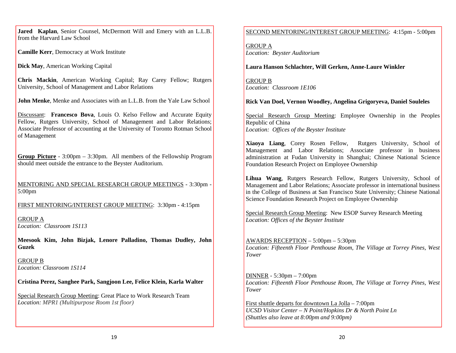**Jared Kaplan**, Senior Counsel, McDermott Will and Emery with an L.L.B. from the Harvard Law School

**Camille Kerr**, Democracy at Work Institute

**Dick May**, American Working Capital

**Chris Mackin**, American Working Capital; Ray Carey Fellow; Rutgers University, School of Management and Labor Relations

**John Menke**, Menke and Associates with an L.L.B. from the Yale Law School

Discussant: **Francesco Bova**, Louis O. Kelso Fellow and Accurate Equity Fellow, Rutgers University, School of Management and Labor Relations; Associate Professor of accounting at the University of Toronto Rotman School of Management

**Group Picture** - 3:00pm – 3:30pm. All members of the Fellowship Program should meet outside the entrance to the Beyster Auditorium.

MENTORING AND SPECIAL RESEARCH GROUP MEETINGS - 3:30pm - 5:00pm

FIRST MENTORING/INTEREST GROUP MEETING: 3:30pm - 4:15pm

GROUP A *Location: Classroom 1S113* 

**Meesook Kim, John Bizjak, Lenore Palladino, Thomas Dudley, John Guzek** 

GROUP B *Location: Classroom 1S114* 

**Cristina Perez, Sanghee Park, Sangjoon Lee, Felice Klein, Karla Walter** 

Special Research Group Meeting: Great Place to Work Research Team *Location: MPR1 (Multipurpose Room 1st floor)*

## SECOND MENTORING/INTEREST GROUP MEETING: 4:15pm - 5:00pm

GROUP A *Location: Beyster Auditorium* 

**Laura Hanson Schlachter, Will Gerken, Anne-Laure Winkler** 

GROUP B *Location: Classroom 1E106* 

## **Rick Van Doel, Vernon Woodley, Angelina Grigoryeva, Daniel Souleles**

Special Research Group Meeting: Employee Ownership in the Peoples Republic of China *Location: Offices of the Beyster Institute* 

**Xiaoya Liang**, Corey Rosen Fellow, Rutgers University, School of Management and Labor Relations; Associate professor in business administration at Fudan University in Shanghai; Chinese National Science Foundation Research Project on Employee Ownership

**Lihua Wang**, Rutgers Research Fellow, Rutgers University, School of Management and Labor Relations; Associate professor in international business in the College of Business at San Francisco State University; Chinese National Science Foundation Research Project on Employee Ownership

Special Research Group Meeting: New ESOP Survey Research Meeting *Location: Offices of the Beyster Institute*

AWARDS RECEPTION – 5:00pm – 5:30pm *Location: Fifteenth Floor Penthouse Room, The Village at Torrey Pines, West Tower* 

DINNER - 5:30pm – 7:00pm *Location: Fifteenth Floor Penthouse Room, The Village at Torrey Pines, West Tower* 

First shuttle departs for downtown La Jolla – 7:00pm *UCSD Visitor Center – N Point/Hopkins Dr & North Point Ln (Shuttles also leave at 8:00pm and 9:00pm)*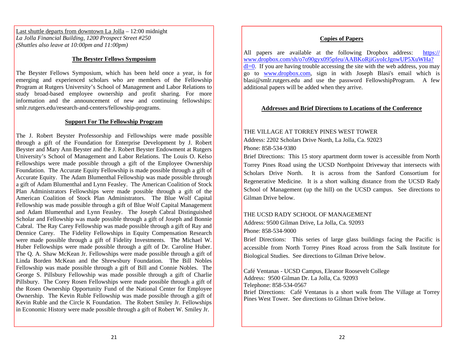Last shuttle departs from downtown La Jolla – 12:00 midnight *La Jolla Financial Building, 1200 Prospect Street #250 (Shuttles also leave at 10:00pm and 11:00pm)* 

#### **The Beyster Fellows Symposium**

The Beyster Fellows Symposium, which has been held once a year, is for emerging and experienced scholars who are members of the Fellowship Program at Rutgers University's School of Management and Labor Relations to study broad-based employee ownership and profit sharing. For more information and the announcement of new and continuing fellowships: smlr.rutgers.edu/research-and-centers/fellowship-programs.

#### **Support For The Fellowship Program**

The J. Robert Beyster Professorship and Fellowships were made possible through a gift of the Foundation for Enterprise Development by J. Robert Beyster and Mary Ann Beyster and the J. Robert Beyster Endowment at Rutgers University's School of Management and Labor Relations. The Louis O. Kelso Fellowships were made possible through a gift of the Employee Ownership Foundation. The Accurate Equity Fellowship is made possible through a gift of Accurate Equity. The Adam Blumenthal Fellowship was made possible through a gift of Adam Blumenthal and Lynn Feasley. The American Coalition of Stock Plan Administrators Fellowships were made possible through a gift of the American Coalition of Stock Plan Administrators. The Blue Wolf Capital Fellowship was made possible through a gift of Blue Wolf Capital Management and Adam Blumenthal and Lynn Feasley. The Joseph Cabral Distinguished Scholar and Fellowship was made possible through a gift of Joseph and Bonnie Cabral. The Ray Carey Fellowship was made possible through a gift of Ray and Dennice Carey. The Fidelity Fellowships in Equity Compensation Research were made possible through a gift of Fidelity Investments. The Michael W. Huber Fellowships were made possible through a gift of Dr. Caroline Huber. The Q. A. Shaw McKean Jr. Fellowships were made possible through a gift of Linda Borden McKean and the Shrewsbury Foundation. The Bill Nobles Fellowship was made possible through a gift of Bill and Connie Nobles. The George S. Pillsbury Fellowship was made possible through a gift of Charlie Pillsbury. The Corey Rosen Fellowships were made possible through a gift of the Rosen Ownership Opportunity Fund of the National Center for Employee Ownership. The Kevin Ruble Fellowship was made possible through a gift of Kevin Ruble and the Circle K Foundation. The Robert Smiley Jr. Fellowships in Economic History were made possible through a gift of Robert W. Smiley Jr.

#### **Copies of Papers**

All papers are available at the following Dropbox address: https:// www.dropbox.com/sh/o7o90gyx095pfeu/AABKoRjiGyoIcJgnwUP5XuWHa?  $d = 0$ . If you are having trouble accessing the site with the web address, you may go to www.dropbox.com, sign in with Joseph Blasi's email which is blasi@smlr.rutgers.edu and use the password FellowshipProgram. A few additional papers will be added when they arrive.

#### **Addresses and Brief Directions to Locations of the Conference**

THE VILLAGE AT TORREY PINES WEST TOWER Address: 2202 Scholars Drive North, La Jolla, Ca. 92023 Phone: 858-534-9380

Brief Directions: This 15 story apartment dorm tower is accessible from North Torrey Pines Road using the UCSD Northpoint Driveway that intersects with Scholars Drive North. It is across from the Sanford Consortium for Regenerative Medicine. It is a short walking distance from the UCSD Rady School of Management (up the hill) on the UCSD campus. See directions to Gilman Drive below.

#### THE UCSD RADY SCHOOL OF MANAGEMENT

Address: 9500 Gilman Drive, La Jolla, Ca. 92093

Phone: 858-534-9000

Brief Directions: This series of large glass buildings facing the Pacific is accessible from North Torrey Pines Road across from the Salk Institute for Biological Studies. See directions to Gilman Drive below.

Café Ventanas - UCSD Campus, Eleanor Roosevelt College Address: 9500 Gilman Dr. La Jolla, Ca. 92093 Telephone: 858-534-0567 Brief Directions: Café Ventanas is a short walk from The Village at Torrey Pines West Tower. See directions to Gilman Drive below.